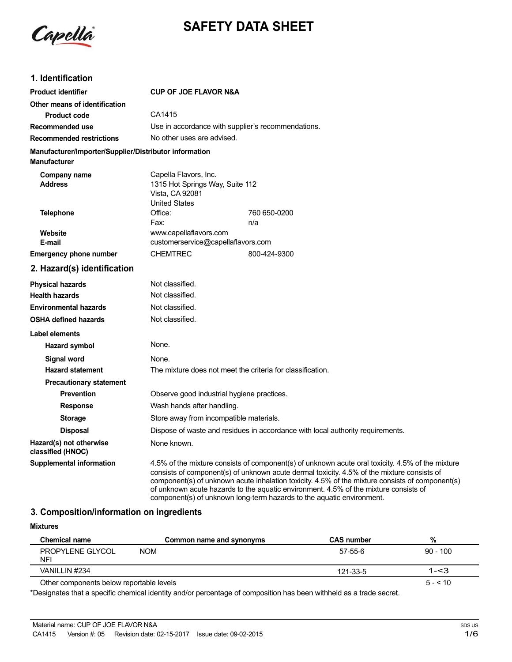

# **SAFETY DATA SHEET**

### **1. Identification**

| <b>Product identifier</b>                              | <b>CUP OF JOE FLAVOR N&amp;A</b>                                                                    |                                                                                                                                                                                                                                                                                                                                                                                                                                                                    |  |
|--------------------------------------------------------|-----------------------------------------------------------------------------------------------------|--------------------------------------------------------------------------------------------------------------------------------------------------------------------------------------------------------------------------------------------------------------------------------------------------------------------------------------------------------------------------------------------------------------------------------------------------------------------|--|
| Other means of identification                          |                                                                                                     |                                                                                                                                                                                                                                                                                                                                                                                                                                                                    |  |
| <b>Product code</b>                                    | CA1415                                                                                              |                                                                                                                                                                                                                                                                                                                                                                                                                                                                    |  |
| Recommended use                                        |                                                                                                     | Use in accordance with supplier's recommendations.                                                                                                                                                                                                                                                                                                                                                                                                                 |  |
| <b>Recommended restrictions</b>                        | No other uses are advised.                                                                          |                                                                                                                                                                                                                                                                                                                                                                                                                                                                    |  |
| Manufacturer/Importer/Supplier/Distributor information |                                                                                                     |                                                                                                                                                                                                                                                                                                                                                                                                                                                                    |  |
| <b>Manufacturer</b>                                    |                                                                                                     |                                                                                                                                                                                                                                                                                                                                                                                                                                                                    |  |
| Company name<br><b>Address</b>                         | Capella Flavors, Inc.<br>1315 Hot Springs Way, Suite 112<br>Vista, CA 92081<br><b>United States</b> |                                                                                                                                                                                                                                                                                                                                                                                                                                                                    |  |
| <b>Telephone</b>                                       | Office:                                                                                             | 760 650-0200                                                                                                                                                                                                                                                                                                                                                                                                                                                       |  |
|                                                        | Fax:                                                                                                | n/a                                                                                                                                                                                                                                                                                                                                                                                                                                                                |  |
| Website<br>E-mail                                      | www.capellaflavors.com<br>customerservice@capellaflavors.com                                        |                                                                                                                                                                                                                                                                                                                                                                                                                                                                    |  |
| <b>Emergency phone number</b>                          | <b>CHEMTREC</b>                                                                                     | 800-424-9300                                                                                                                                                                                                                                                                                                                                                                                                                                                       |  |
| 2. Hazard(s) identification                            |                                                                                                     |                                                                                                                                                                                                                                                                                                                                                                                                                                                                    |  |
| <b>Physical hazards</b>                                | Not classified.                                                                                     |                                                                                                                                                                                                                                                                                                                                                                                                                                                                    |  |
| <b>Health hazards</b>                                  | Not classified.                                                                                     |                                                                                                                                                                                                                                                                                                                                                                                                                                                                    |  |
| <b>Environmental hazards</b>                           | Not classified.                                                                                     |                                                                                                                                                                                                                                                                                                                                                                                                                                                                    |  |
| <b>OSHA defined hazards</b>                            | Not classified.                                                                                     |                                                                                                                                                                                                                                                                                                                                                                                                                                                                    |  |
| <b>Label elements</b>                                  |                                                                                                     |                                                                                                                                                                                                                                                                                                                                                                                                                                                                    |  |
| Hazard symbol                                          | None.                                                                                               |                                                                                                                                                                                                                                                                                                                                                                                                                                                                    |  |
| Signal word                                            | None.                                                                                               |                                                                                                                                                                                                                                                                                                                                                                                                                                                                    |  |
| <b>Hazard statement</b>                                | The mixture does not meet the criteria for classification.                                          |                                                                                                                                                                                                                                                                                                                                                                                                                                                                    |  |
| <b>Precautionary statement</b>                         |                                                                                                     |                                                                                                                                                                                                                                                                                                                                                                                                                                                                    |  |
| <b>Prevention</b>                                      | Observe good industrial hygiene practices.                                                          |                                                                                                                                                                                                                                                                                                                                                                                                                                                                    |  |
| <b>Response</b>                                        | Wash hands after handling.                                                                          |                                                                                                                                                                                                                                                                                                                                                                                                                                                                    |  |
| <b>Storage</b>                                         | Store away from incompatible materials.                                                             |                                                                                                                                                                                                                                                                                                                                                                                                                                                                    |  |
| <b>Disposal</b>                                        | Dispose of waste and residues in accordance with local authority requirements.                      |                                                                                                                                                                                                                                                                                                                                                                                                                                                                    |  |
| Hazard(s) not otherwise<br>classified (HNOC)           | None known.                                                                                         |                                                                                                                                                                                                                                                                                                                                                                                                                                                                    |  |
| <b>Supplemental information</b>                        |                                                                                                     | 4.5% of the mixture consists of component(s) of unknown acute oral toxicity. 4.5% of the mixture<br>consists of component(s) of unknown acute dermal toxicity. 4.5% of the mixture consists of<br>component(s) of unknown acute inhalation toxicity. 4.5% of the mixture consists of component(s)<br>of unknown acute hazards to the aquatic environment. 4.5% of the mixture consists of<br>component(s) of unknown long-term hazards to the aquatic environment. |  |

## **3. Composition/information on ingredients**

#### **Mixtures**

| Chemical name                            | Common name and synonyms | <b>CAS number</b> | %          |
|------------------------------------------|--------------------------|-------------------|------------|
| <b>PROPYLENE GLYCOL</b><br>NFI           | <b>NOM</b>               | 57-55-6           | $90 - 100$ |
| VANILLIN #234                            |                          | 121-33-5          | $1 - 3$    |
| Other components below reportable levels |                          |                   | $5 - 510$  |

\*Designates that a specific chemical identity and/or percentage of composition has been withheld as a trade secret.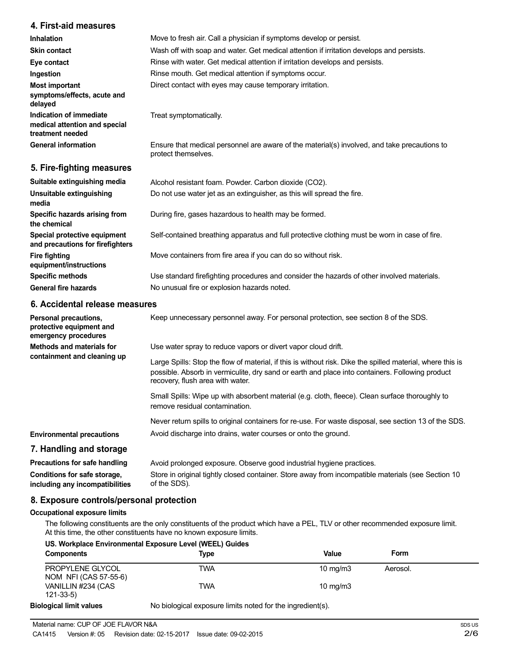### **4. First-aid measures**

| <b>Inhalation</b>                                                            | Move to fresh air. Call a physician if symptoms develop or persist.                                                 |
|------------------------------------------------------------------------------|---------------------------------------------------------------------------------------------------------------------|
| <b>Skin contact</b>                                                          | Wash off with soap and water. Get medical attention if irritation develops and persists.                            |
| Eye contact                                                                  | Rinse with water. Get medical attention if irritation develops and persists.                                        |
| Ingestion                                                                    | Rinse mouth. Get medical attention if symptoms occur.                                                               |
| <b>Most important</b><br>symptoms/effects, acute and<br>delayed              | Direct contact with eyes may cause temporary irritation.                                                            |
| Indication of immediate<br>medical attention and special<br>treatment needed | Treat symptomatically.                                                                                              |
| <b>General information</b>                                                   | Ensure that medical personnel are aware of the material(s) involved, and take precautions to<br>protect themselves. |
| 5. Fire-fighting measures                                                    |                                                                                                                     |

| Alcohol resistant foam. Powder. Carbon dioxide (CO2).                                         |
|-----------------------------------------------------------------------------------------------|
| Do not use water jet as an extinguisher, as this will spread the fire.                        |
| During fire, gases hazardous to health may be formed.                                         |
| Self-contained breathing apparatus and full protective clothing must be worn in case of fire. |
| Move containers from fire area if you can do so without risk.                                 |
| Use standard firefighting procedures and consider the hazards of other involved materials.    |
| No unusual fire or explosion hazards noted.                                                   |
|                                                                                               |

### **6. Accidental release measures**

| Personal precautions,<br>protective equipment and<br>emergency procedures | Keep unnecessary personnel away. For personal protection, see section 8 of the SDS.                                                                                                                                                               |
|---------------------------------------------------------------------------|---------------------------------------------------------------------------------------------------------------------------------------------------------------------------------------------------------------------------------------------------|
| Methods and materials for<br>containment and cleaning up                  | Use water spray to reduce vapors or divert vapor cloud drift.                                                                                                                                                                                     |
|                                                                           | Large Spills: Stop the flow of material, if this is without risk. Dike the spilled material, where this is<br>possible. Absorb in vermiculite, dry sand or earth and place into containers. Following product<br>recovery, flush area with water. |
|                                                                           | Small Spills: Wipe up with absorbent material (e.g. cloth, fleece). Clean surface thoroughly to<br>remove residual contamination.                                                                                                                 |
|                                                                           | Never return spills to original containers for re-use. For waste disposal, see section 13 of the SDS.                                                                                                                                             |
| <b>Environmental precautions</b>                                          | Avoid discharge into drains, water courses or onto the ground.                                                                                                                                                                                    |
| 7. Handling and storage                                                   |                                                                                                                                                                                                                                                   |
| Precautions for safe handling                                             | Avoid prolonged exposure. Observe good industrial hygiene practices.                                                                                                                                                                              |
| Conditions for safe storage,<br>including any incompatibilities           | Store in original tightly closed container. Store away from incompatible materials (see Section 10<br>of the SDS).                                                                                                                                |

### **8. Exposure controls/personal protection**

#### **Occupational exposure limits**

The following constituents are the only constituents of the product which have a PEL, TLV or other recommended exposure limit. At this time, the other constituents have no known exposure limits.

| US. Workplace Environmental Exposure Level (WEEL) Guides |                                                            |            |          |  |
|----------------------------------------------------------|------------------------------------------------------------|------------|----------|--|
| <b>Components</b>                                        | Type                                                       | Value      | Form     |  |
| PROPYLENE GLYCOL<br>NOM NFI (CAS 57-55-6)                | TWA                                                        | 10 $mq/m3$ | Aerosol. |  |
| VANILLIN #234 (CAS<br>$121 - 33 - 5$                     | TWA                                                        | 10 $mq/m3$ |          |  |
| <b>Biological limit values</b>                           | No biological exposure limits noted for the ingredient(s). |            |          |  |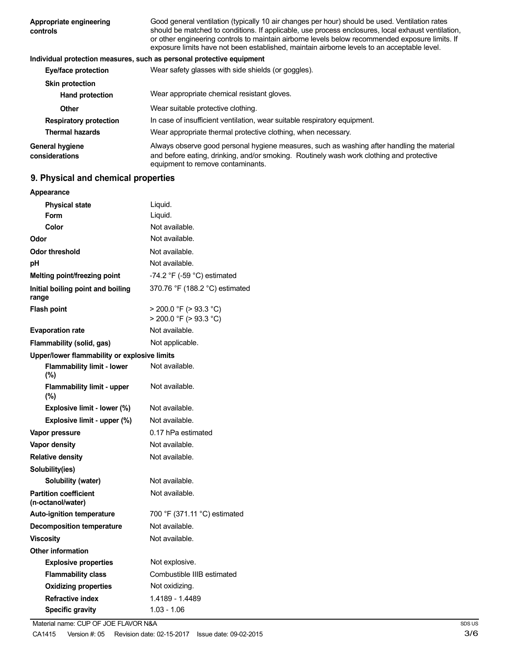| Appropriate engineering<br>controls      | Good general ventilation (typically 10 air changes per hour) should be used. Ventilation rates<br>should be matched to conditions. If applicable, use process enclosures, local exhaust ventilation,<br>or other engineering controls to maintain airborne levels below recommended exposure limits. If<br>exposure limits have not been established, maintain airborne levels to an acceptable level. |
|------------------------------------------|--------------------------------------------------------------------------------------------------------------------------------------------------------------------------------------------------------------------------------------------------------------------------------------------------------------------------------------------------------------------------------------------------------|
|                                          | Individual protection measures, such as personal protective equipment                                                                                                                                                                                                                                                                                                                                  |
| Eye/face protection                      | Wear safety glasses with side shields (or goggles).                                                                                                                                                                                                                                                                                                                                                    |
| <b>Skin protection</b>                   |                                                                                                                                                                                                                                                                                                                                                                                                        |
| <b>Hand protection</b>                   | Wear appropriate chemical resistant gloves.                                                                                                                                                                                                                                                                                                                                                            |
| Other                                    | Wear suitable protective clothing.                                                                                                                                                                                                                                                                                                                                                                     |
| <b>Respiratory protection</b>            | In case of insufficient ventilation, wear suitable respiratory equipment.                                                                                                                                                                                                                                                                                                                              |
| <b>Thermal hazards</b>                   | Wear appropriate thermal protective clothing, when necessary.                                                                                                                                                                                                                                                                                                                                          |
| <b>General hygiene</b><br>considerations | Always observe good personal hygiene measures, such as washing after handling the material<br>and before eating, drinking, and/or smoking. Routinely wash work clothing and protective<br>equipment to remove contaminants.                                                                                                                                                                            |

# **9. Physical and chemical properties**

| Appearance                                        |                                                            |
|---------------------------------------------------|------------------------------------------------------------|
| <b>Physical state</b>                             | Liquid.                                                    |
| Form                                              | Liquid.                                                    |
| Color                                             | Not available.                                             |
| Odor                                              | Not available.                                             |
| Odor threshold                                    | Not available.                                             |
| рH                                                | Not available.                                             |
| Melting point/freezing point                      | -74.2 °F (-59 °C) estimated                                |
| Initial boiling point and boiling<br>range        | 370.76 °F (188.2 °C) estimated                             |
| <b>Flash point</b>                                | $>$ 200.0 °F ( $>$ 93.3 °C)<br>$>$ 200.0 °F ( $>$ 93.3 °C) |
| <b>Evaporation rate</b>                           | Not available.                                             |
| Flammability (solid, gas)                         | Not applicable.                                            |
| Upper/lower flammability or explosive limits      |                                                            |
| <b>Flammability limit - lower</b><br>(%)          | Not available.                                             |
| Flammability limit - upper<br>(%)                 | Not available.                                             |
| Explosive limit - lower (%)                       | Not available.                                             |
| Explosive limit - upper (%)                       | Not available.                                             |
| Vapor pressure                                    | 0.17 hPa estimated                                         |
| <b>Vapor density</b>                              | Not available.                                             |
| <b>Relative density</b>                           | Not available.                                             |
| Solubility(ies)                                   |                                                            |
| Solubility (water)                                | Not available.                                             |
| <b>Partition coefficient</b><br>(n-octanol/water) | Not available.                                             |
| <b>Auto-ignition temperature</b>                  | 700 °F (371.11 °C) estimated                               |
| <b>Decomposition temperature</b>                  | Not available.                                             |
| <b>Viscosity</b>                                  | Not available.                                             |
| <b>Other information</b>                          |                                                            |
| <b>Explosive properties</b>                       | Not explosive.                                             |
| <b>Flammability class</b>                         | Combustible IIIB estimated                                 |
| <b>Oxidizing properties</b>                       | Not oxidizing.                                             |
| <b>Refractive index</b>                           | 1.4189 - 1.4489                                            |
| <b>Specific gravity</b>                           | 1.03 - 1.06                                                |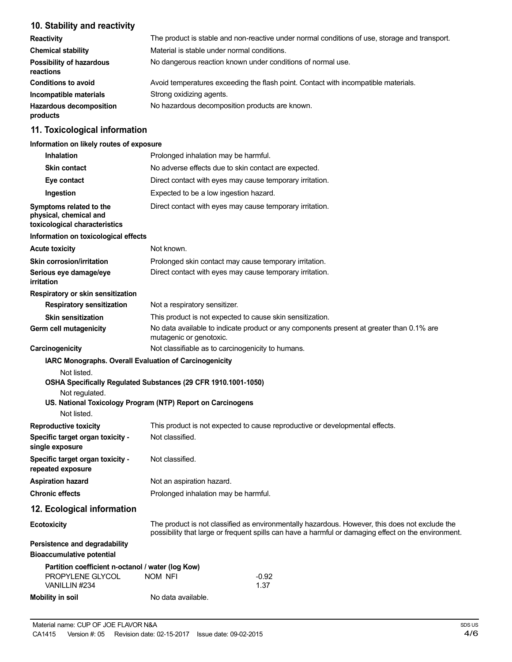# **10. Stability and reactivity**

| <b>Reactivity</b>                            | The product is stable and non-reactive under normal conditions of use, storage and transport. |
|----------------------------------------------|-----------------------------------------------------------------------------------------------|
| <b>Chemical stability</b>                    | Material is stable under normal conditions.                                                   |
| <b>Possibility of hazardous</b><br>reactions | No dangerous reaction known under conditions of normal use.                                   |
| <b>Conditions to avoid</b>                   | Avoid temperatures exceeding the flash point. Contact with incompatible materials.            |
| Incompatible materials                       | Strong oxidizing agents.                                                                      |
| <b>Hazardous decomposition</b><br>products   | No hazardous decomposition products are known.                                                |

# **11. Toxicological information**

#### **Information on likely routes of exposure**

| <b>Inhalation</b>                                                                                                                                                                                                                       | Prolonged inhalation may be harmful.                                                                                                                                                                  |                                                           |  |
|-----------------------------------------------------------------------------------------------------------------------------------------------------------------------------------------------------------------------------------------|-------------------------------------------------------------------------------------------------------------------------------------------------------------------------------------------------------|-----------------------------------------------------------|--|
| <b>Skin contact</b>                                                                                                                                                                                                                     | No adverse effects due to skin contact are expected.                                                                                                                                                  |                                                           |  |
| Eye contact                                                                                                                                                                                                                             | Direct contact with eyes may cause temporary irritation.                                                                                                                                              |                                                           |  |
| Ingestion                                                                                                                                                                                                                               | Expected to be a low ingestion hazard.                                                                                                                                                                |                                                           |  |
| Symptoms related to the<br>physical, chemical and<br>toxicological characteristics                                                                                                                                                      | Direct contact with eyes may cause temporary irritation.                                                                                                                                              |                                                           |  |
| Information on toxicological effects                                                                                                                                                                                                    |                                                                                                                                                                                                       |                                                           |  |
| <b>Acute toxicity</b>                                                                                                                                                                                                                   | Not known.                                                                                                                                                                                            |                                                           |  |
| Skin corrosion/irritation                                                                                                                                                                                                               |                                                                                                                                                                                                       | Prolonged skin contact may cause temporary irritation.    |  |
| Serious eye damage/eye<br>irritation                                                                                                                                                                                                    |                                                                                                                                                                                                       | Direct contact with eyes may cause temporary irritation.  |  |
| Respiratory or skin sensitization                                                                                                                                                                                                       |                                                                                                                                                                                                       |                                                           |  |
| <b>Respiratory sensitization</b>                                                                                                                                                                                                        | Not a respiratory sensitizer.                                                                                                                                                                         |                                                           |  |
| <b>Skin sensitization</b>                                                                                                                                                                                                               |                                                                                                                                                                                                       | This product is not expected to cause skin sensitization. |  |
| Germ cell mutagenicity                                                                                                                                                                                                                  | No data available to indicate product or any components present at greater than 0.1% are<br>mutagenic or genotoxic.                                                                                   |                                                           |  |
| Carcinogenicity                                                                                                                                                                                                                         |                                                                                                                                                                                                       | Not classifiable as to carcinogenicity to humans.         |  |
| IARC Monographs. Overall Evaluation of Carcinogenicity<br>Not listed.<br>OSHA Specifically Regulated Substances (29 CFR 1910.1001-1050)<br>Not regulated.<br>US. National Toxicology Program (NTP) Report on Carcinogens<br>Not listed. |                                                                                                                                                                                                       |                                                           |  |
| <b>Reproductive toxicity</b>                                                                                                                                                                                                            | This product is not expected to cause reproductive or developmental effects.                                                                                                                          |                                                           |  |
| Specific target organ toxicity -<br>single exposure                                                                                                                                                                                     | Not classified.                                                                                                                                                                                       |                                                           |  |
| Specific target organ toxicity -<br>repeated exposure                                                                                                                                                                                   | Not classified.                                                                                                                                                                                       |                                                           |  |
| <b>Aspiration hazard</b>                                                                                                                                                                                                                | Not an aspiration hazard.                                                                                                                                                                             |                                                           |  |
| <b>Chronic effects</b>                                                                                                                                                                                                                  | Prolonged inhalation may be harmful.                                                                                                                                                                  |                                                           |  |
| 12. Ecological information                                                                                                                                                                                                              |                                                                                                                                                                                                       |                                                           |  |
| <b>Ecotoxicity</b>                                                                                                                                                                                                                      | The product is not classified as environmentally hazardous. However, this does not exclude the<br>possibility that large or frequent spills can have a harmful or damaging effect on the environment. |                                                           |  |
| Persistence and degradability                                                                                                                                                                                                           |                                                                                                                                                                                                       |                                                           |  |
| <b>Bioaccumulative potential</b>                                                                                                                                                                                                        |                                                                                                                                                                                                       |                                                           |  |
| Partition coefficient n-octanol / water (log Kow)                                                                                                                                                                                       |                                                                                                                                                                                                       |                                                           |  |
| PROPYLENE GLYCOL<br>VANILLIN #234                                                                                                                                                                                                       | NOM NFI                                                                                                                                                                                               | $-0.92$<br>1.37                                           |  |
| <b>Mobility in soil</b>                                                                                                                                                                                                                 | No data available.                                                                                                                                                                                    |                                                           |  |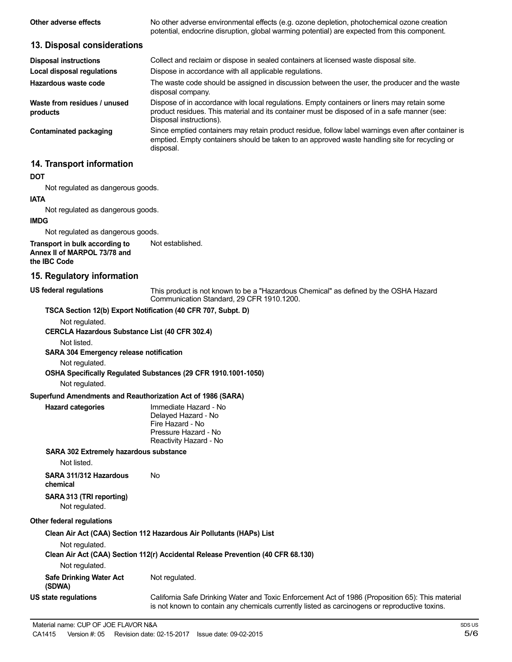| Other adverse effects                                                          | No other adverse environmental effects (e.g. ozone depletion, photochemical ozone creation<br>potential, endocrine disruption, global warming potential) are expected from this component.                             |
|--------------------------------------------------------------------------------|------------------------------------------------------------------------------------------------------------------------------------------------------------------------------------------------------------------------|
| 13. Disposal considerations                                                    |                                                                                                                                                                                                                        |
| <b>Disposal instructions</b>                                                   | Collect and reclaim or dispose in sealed containers at licensed waste disposal site.                                                                                                                                   |
| <b>Local disposal regulations</b>                                              | Dispose in accordance with all applicable regulations.                                                                                                                                                                 |
| Hazardous waste code                                                           | The waste code should be assigned in discussion between the user, the producer and the waste<br>disposal company.                                                                                                      |
| Waste from residues / unused<br>products                                       | Dispose of in accordance with local regulations. Empty containers or liners may retain some<br>product residues. This material and its container must be disposed of in a safe manner (see:<br>Disposal instructions). |
| <b>Contaminated packaging</b>                                                  | Since emptied containers may retain product residue, follow label warnings even after container is<br>emptied. Empty containers should be taken to an approved waste handling site for recycling or<br>disposal.       |
| 14. Transport information                                                      |                                                                                                                                                                                                                        |
| <b>DOT</b>                                                                     |                                                                                                                                                                                                                        |
| Not regulated as dangerous goods.                                              |                                                                                                                                                                                                                        |
| <b>IATA</b>                                                                    |                                                                                                                                                                                                                        |
| Not regulated as dangerous goods.                                              |                                                                                                                                                                                                                        |
| <b>IMDG</b>                                                                    |                                                                                                                                                                                                                        |
| Not regulated as dangerous goods.                                              |                                                                                                                                                                                                                        |
| Transport in bulk according to<br>Annex II of MARPOL 73/78 and<br>the IBC Code | Not established.                                                                                                                                                                                                       |
| 15. Regulatory information                                                     |                                                                                                                                                                                                                        |
| <b>US federal regulations</b>                                                  | This product is not known to be a "Hazardous Chemical" as defined by the OSHA Hazard<br>Communication Standard, 29 CFR 1910.1200.                                                                                      |
| TSCA Section 12(b) Export Notification (40 CFR 707, Subpt. D)                  |                                                                                                                                                                                                                        |
| Not regulated.                                                                 |                                                                                                                                                                                                                        |
| <b>CERCLA Hazardous Substance List (40 CFR 302.4)</b>                          |                                                                                                                                                                                                                        |
| Not listed.                                                                    |                                                                                                                                                                                                                        |
| SARA 304 Emergency release notification                                        |                                                                                                                                                                                                                        |
| Not regulated.                                                                 | OSHA Specifically Regulated Substances (29 CFR 1910.1001-1050)                                                                                                                                                         |
| Not regulated.                                                                 |                                                                                                                                                                                                                        |

#### **Superfund Amendments and Reauthorization Act of 1986 (SARA)**

| Immediate Hazard - No  |
|------------------------|
| Delayed Hazard - No    |
| Fire Hazard - No       |
| Pressure Hazard - No   |
| Reactivity Hazard - No |
|                        |

#### **SARA 302 Extremely hazardous substance**

Not listed.

**Hazard** categories

**SARA 311/312 Hazardous** No **chemical SARA 313 (TRI reporting)**

Not regulated.

#### **Other federal regulations**

**Clean Air Act (CAA) Section 112 Hazardous Air Pollutants (HAPs) List** Not regulated. **Clean Air Act (CAA) Section 112(r) Accidental Release Prevention (40 CFR 68.130)** Not regulated. **Safe Drinking Water Act (SDWA) US state regulations** Not regulated. California Safe Drinking Water and Toxic Enforcement Act of 1986 (Proposition 65): This material is not known to contain any chemicals currently listed as carcinogens or reproductive toxins.